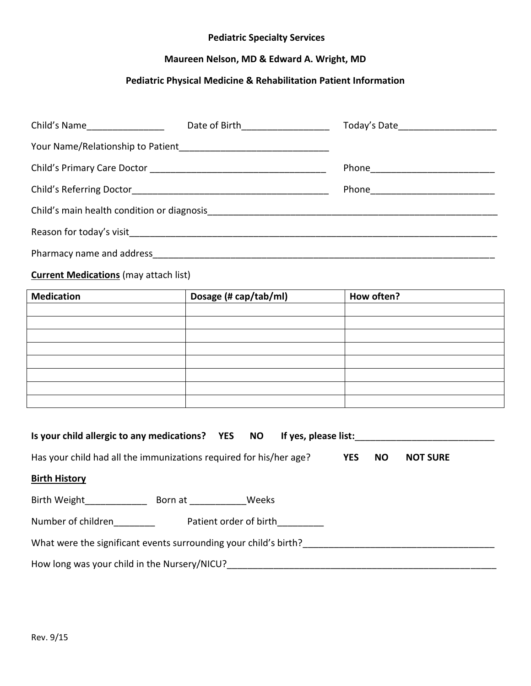#### **Pediatric Specialty Services**

# **Maureen Nelson, MD & Edward A. Wright, MD**

## **Pediatric Physical Medicine & Rehabilitation Patient Information**

| Child's Name__________________                                                                                                                                                                                                      | Date of Birth___________________ | Today's Date________________________ |  |  |  |
|-------------------------------------------------------------------------------------------------------------------------------------------------------------------------------------------------------------------------------------|----------------------------------|--------------------------------------|--|--|--|
|                                                                                                                                                                                                                                     |                                  |                                      |  |  |  |
|                                                                                                                                                                                                                                     |                                  |                                      |  |  |  |
|                                                                                                                                                                                                                                     |                                  |                                      |  |  |  |
|                                                                                                                                                                                                                                     |                                  |                                      |  |  |  |
|                                                                                                                                                                                                                                     |                                  |                                      |  |  |  |
| Pharmacy name and address <b>Example 20</b> and 20 and 20 and 20 and 20 and 20 and 20 and 20 and 20 and 20 and 20 and 20 and 20 and 20 and 20 and 20 and 20 and 20 and 20 and 20 and 20 and 20 and 20 and 20 and 20 and 20 and 20 a |                                  |                                      |  |  |  |
| <b>Current Medications (may attach list)</b>                                                                                                                                                                                        |                                  |                                      |  |  |  |

| <b>Medication</b> | Dosage (# cap/tab/ml) | How often? |
|-------------------|-----------------------|------------|
|                   |                       |            |
|                   |                       |            |
|                   |                       |            |
|                   |                       |            |
|                   |                       |            |
|                   |                       |            |
|                   |                       |            |
|                   |                       |            |

| Is your child allergic to any medications? YES NO                  |         |                        | If yes, please list: |            |           |                 |
|--------------------------------------------------------------------|---------|------------------------|----------------------|------------|-----------|-----------------|
| Has your child had all the immunizations required for his/her age? |         |                        |                      | <b>YES</b> | <b>NO</b> | <b>NOT SURE</b> |
| <b>Birth History</b>                                               |         |                        |                      |            |           |                 |
| Birth Weight                                                       | Born at | Weeks                  |                      |            |           |                 |
| Number of children                                                 |         | Patient order of birth |                      |            |           |                 |
| What were the significant events surrounding your child's birth?   |         |                        |                      |            |           |                 |
| How long was your child in the Nursery/NICU?                       |         |                        |                      |            |           |                 |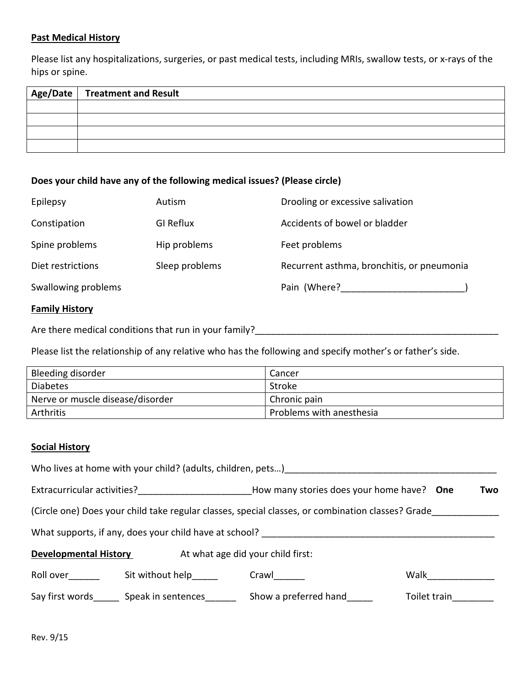#### **Past Medical History**

Please list any hospitalizations, surgeries, or past medical tests, including MRIs, swallow tests, or x-rays of the hips or spine.

| $^\dagger$ Age/Date $\vert$ Treatment and Result |
|--------------------------------------------------|
|                                                  |
|                                                  |
|                                                  |
|                                                  |

## **Does your child have any of the following medical issues? (Please circle)**

| Epilepsy              | Autism           | Drooling or excessive salivation           |
|-----------------------|------------------|--------------------------------------------|
| Constipation          | <b>GI Reflux</b> | Accidents of bowel or bladder              |
| Spine problems        | Hip problems     | Feet problems                              |
| Diet restrictions     | Sleep problems   | Recurrent asthma, bronchitis, or pneumonia |
| Swallowing problems   |                  | Pain (Where?                               |
| <b>Family History</b> |                  |                                            |

Are there medical conditions that run in your family?\_\_\_\_\_\_\_\_\_\_\_\_\_\_\_\_\_\_\_\_\_\_\_\_\_\_\_\_\_\_\_\_\_\_\_\_\_\_\_\_\_\_\_\_\_\_\_

Please list the relationship of any relative who has the following and specify mother's or father's side.

| Bleeding disorder                | Cancer                          |
|----------------------------------|---------------------------------|
| <b>Diabetes</b>                  | Stroke                          |
| Nerve or muscle disease/disorder | Chronic pain                    |
| Arthritis                        | <b>Problems with anesthesia</b> |

#### **Social History**

| Who lives at home with your child? (adults, children, pets)                                                                                                                                                                            |                                    |                                                  |              |  |  |
|----------------------------------------------------------------------------------------------------------------------------------------------------------------------------------------------------------------------------------------|------------------------------------|--------------------------------------------------|--------------|--|--|
| Extracurricular activities?<br><u>[</u> [11] Determinant activities and activities of the state of the state of the state of the state of the state of the state of the state of the state of the state of the state of the state of t |                                    | How many stories does your home have? One<br>Two |              |  |  |
| (Circle one) Does your child take regular classes, special classes, or combination classes? Grade                                                                                                                                      |                                    |                                                  |              |  |  |
| What supports, if any, does your child have at school?                                                                                                                                                                                 |                                    |                                                  |              |  |  |
| At what age did your child first:<br><b>Developmental History</b>                                                                                                                                                                      |                                    |                                                  |              |  |  |
| Roll over                                                                                                                                                                                                                              | Sit without help                   | Crawl                                            | Walk         |  |  |
|                                                                                                                                                                                                                                        | Say first words Speak in sentences | Show a preferred hand                            | Toilet train |  |  |